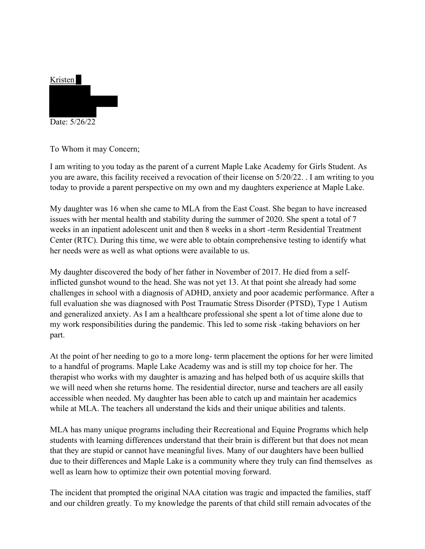

To Whom it may Concern;

I am writing to you today as the parent of a current Maple Lake Academy for Girls Student. As you are aware, this facility received a revocation of their license on 5/20/22. . I am writing to you today to provide a parent perspective on my own and my daughters experience at Maple Lake.

My daughter was 16 when she came to MLA from the East Coast. She began to have increased issues with her mental health and stability during the summer of 2020. She spent a total of 7 weeks in an inpatient adolescent unit and then 8 weeks in a short -term Residential Treatment Center (RTC). During this time, we were able to obtain comprehensive testing to identify what her needs were as well as what options were available to us.

My daughter discovered the body of her father in November of 2017. He died from a selfinflicted gunshot wound to the head. She was not yet 13. At that point she already had some challenges in school with a diagnosis of ADHD, anxiety and poor academic performance. After a full evaluation she was diagnosed with Post Traumatic Stress Disorder (PTSD), Type 1 Autism and generalized anxiety. As I am a healthcare professional she spent a lot of time alone due to my work responsibilities during the pandemic. This led to some risk -taking behaviors on her part.

At the point of her needing to go to a more long- term placement the options for her were limited to a handful of programs. Maple Lake Academy was and is still my top choice for her. The therapist who works with my daughter is amazing and has helped both of us acquire skills that we will need when she returns home. The residential director, nurse and teachers are all easily accessible when needed. My daughter has been able to catch up and maintain her academics while at MLA. The teachers all understand the kids and their unique abilities and talents.

MLA has many unique programs including their Recreational and Equine Programs which help students with learning differences understand that their brain is different but that does not mean that they are stupid or cannot have meaningful lives. Many of our daughters have been bullied due to their differences and Maple Lake is a community where they truly can find themselves as well as learn how to optimize their own potential moving forward.

The incident that prompted the original NAA citation was tragic and impacted the families, staff and our children greatly. To my knowledge the parents of that child still remain advocates of the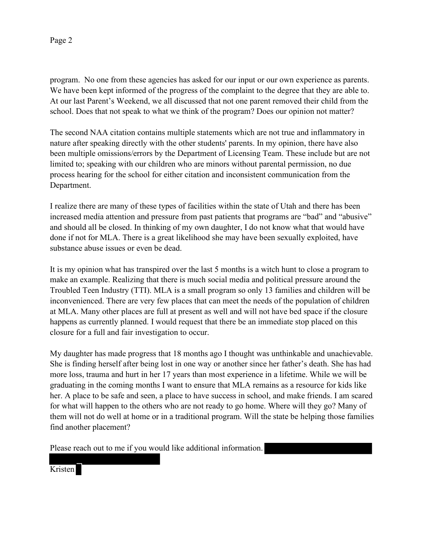## Page 2

program. No one from these agencies has asked for our input or our own experience as parents. We have been kept informed of the progress of the complaint to the degree that they are able to. At our last Parent's Weekend, we all discussed that not one parent removed their child from the school. Does that not speak to what we think of the program? Does our opinion not matter?

The second NAA citation contains multiple statements which are not true and inflammatory in nature after speaking directly with the other students' parents. In my opinion, there have also been multiple omissions/errors by the Department of Licensing Team. These include but are not limited to; speaking with our children who are minors without parental permission, no due process hearing for the school for either citation and inconsistent communication from the Department.

I realize there are many of these types of facilities within the state of Utah and there has been increased media attention and pressure from past patients that programs are "bad" and "abusive" and should all be closed. In thinking of my own daughter, I do not know what that would have done if not for MLA. There is a great likelihood she may have been sexually exploited, have substance abuse issues or even be dead.

It is my opinion what has transpired over the last 5 months is a witch hunt to close a program to make an example. Realizing that there is much social media and political pressure around the Troubled Teen Industry (TTI). MLA is a small program so only 13 families and children will be inconvenienced. There are very few places that can meet the needs of the population of children at MLA. Many other places are full at present as well and will not have bed space if the closure happens as currently planned. I would request that there be an immediate stop placed on this closure for a full and fair investigation to occur.

My daughter has made progress that 18 months ago I thought was unthinkable and unachievable. She is finding herself after being lost in one way or another since her father's death. She has had more loss, trauma and hurt in her 17 years than most experience in a lifetime. While we will be graduating in the coming months I want to ensure that MLA remains as a resource for kids like her. A place to be safe and seen, a place to have success in school, and make friends. I am scared for what will happen to the others who are not ready to go home. Where will they go? Many of them will not do well at home or in a traditional program. Will the state be helping those families find another placement?

Please reach out to me if you would like additional information.

Kristen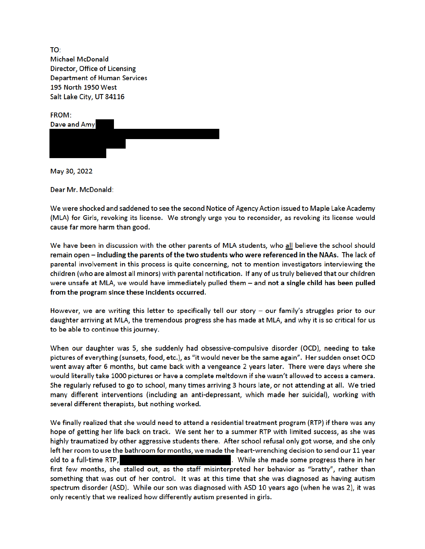TO: **Michael McDonald** Director, Office of Licensing **Department of Human Services** 195 North 1950 West Salt Lake City, UT 84116

FROM: Dave and Amy

May 30, 2022

Dear Mr. McDonald:

We were shocked and saddened to see the second Notice of Agency Action issued to Maple Lake Academy (MLA) for Girls, revoking its license. We strongly urge you to reconsider, as revoking its license would cause far more harm than good.

We have been in discussion with the other parents of MLA students, who all believe the school should remain open - including the parents of the two students who were referenced in the NAAs. The lack of parental involvement in this process is quite concerning, not to mention investigators interviewing the children (who are almost all minors) with parental notification. If any of us truly believed that our children were unsafe at MLA, we would have immediately pulled them - and not a single child has been pulled from the program since these incidents occurred.

However, we are writing this letter to specifically tell our story - our family's struggles prior to our daughter arriving at MLA, the tremendous progress she has made at MLA, and why it is so critical for us to be able to continue this journey.

When our daughter was 5, she suddenly had obsessive-compulsive disorder (OCD), needing to take pictures of everything (sunsets, food, etc.), as "it would never be the same again". Her sudden onset OCD went away after 6 months, but came back with a vengeance 2 years later. There were days where she would literally take 1000 pictures or have a complete meltdown if she wasn't allowed to access a camera. She regularly refused to go to school, many times arriving 3 hours late, or not attending at all. We tried many different interventions (including an anti-depressant, which made her suicidal), working with several different therapists, but nothing worked.

We finally realized that she would need to attend a residential treatment program (RTP) if there was any hope of getting her life back on track. We sent her to a summer RTP with limited success, as she was highly traumatized by other aggressive students there. After school refusal only got worse, and she only left her room to use the bathroom for months, we made the heart-wrenching decision to send our 11 year old to a full-time RTP, . While she made some progress there in her first few months, she stalled out, as the staff misinterpreted her behavior as "bratty", rather than something that was out of her control. It was at this time that she was diagnosed as having autism spectrum disorder (ASD). While our son was diagnosed with ASD 10 years ago (when he was 2), it was only recently that we realized how differently autism presented in girls.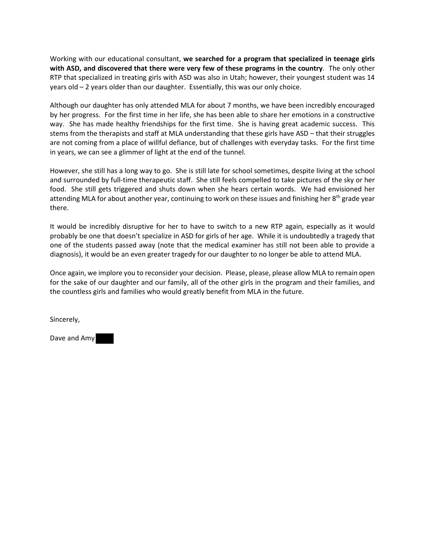Working with our educational consultant, **we searched for a program that specialized in teenage girls with ASD, and discovered that there were very few of these programs in the country**. The only other RTP that specialized in treating girls with ASD was also in Utah; however, their youngest student was 14 years old – 2 years older than our daughter. Essentially, this was our only choice.

Although our daughter has only attended MLA for about 7 months, we have been incredibly encouraged by her progress. For the first time in her life, she has been able to share her emotions in a constructive way. She has made healthy friendships for the first time. She is having great academic success. This stems from the therapists and staff at MLA understanding that these girls have ASD – that their struggles are not coming from a place of willful defiance, but of challenges with everyday tasks. For the first time in years, we can see a glimmer of light at the end of the tunnel.

However, she still has a long way to go. She is still late for school sometimes, despite living at the school and surrounded by full-time therapeutic staff. She still feels compelled to take pictures of the sky or her food. She still gets triggered and shuts down when she hears certain words. We had envisioned her attending MLA for about another year, continuing to work on these issues and finishing her 8<sup>th</sup> grade year there.

It would be incredibly disruptive for her to have to switch to a new RTP again, especially as it would probably be one that doesn't specialize in ASD for girls of her age. While it is undoubtedly a tragedy that one of the students passed away (note that the medical examiner has still not been able to provide a diagnosis), it would be an even greater tragedy for our daughter to no longer be able to attend MLA.

Once again, we implore you to reconsider your decision. Please, please, please allow MLA to remain open for the sake of our daughter and our family, all of the other girls in the program and their families, and the countless girls and families who would greatly benefit from MLA in the future.

Sincerely,

Dave and Amy